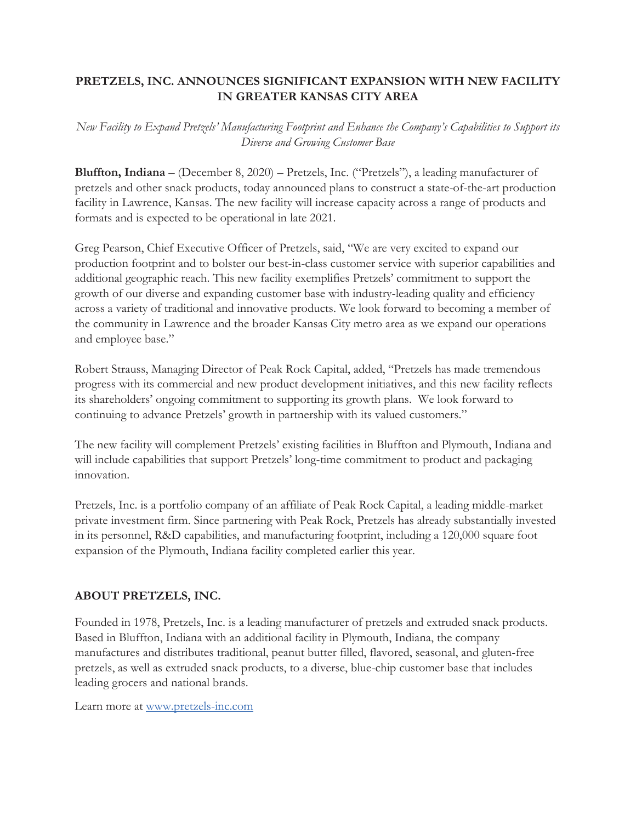## **PRETZELS, INC. ANNOUNCES SIGNIFICANT EXPANSION WITH NEW FACILITY IN GREATER KANSAS CITY AREA**

*New Facility to Expand Pretzels' Manufacturing Footprint and Enhance the Company's Capabilities to Support its Diverse and Growing Customer Base*

**Bluffton, Indiana** – (December 8, 2020) – Pretzels, Inc. ("Pretzels"), a leading manufacturer of pretzels and other snack products, today announced plans to construct a state-of-the-art production facility in Lawrence, Kansas. The new facility will increase capacity across a range of products and formats and is expected to be operational in late 2021.

Greg Pearson, Chief Executive Officer of Pretzels, said, "We are very excited to expand our production footprint and to bolster our best-in-class customer service with superior capabilities and additional geographic reach. This new facility exemplifies Pretzels' commitment to support the growth of our diverse and expanding customer base with industry-leading quality and efficiency across a variety of traditional and innovative products. We look forward to becoming a member of the community in Lawrence and the broader Kansas City metro area as we expand our operations and employee base."

Robert Strauss, Managing Director of Peak Rock Capital, added, "Pretzels has made tremendous progress with its commercial and new product development initiatives, and this new facility reflects its shareholders' ongoing commitment to supporting its growth plans. We look forward to continuing to advance Pretzels' growth in partnership with its valued customers."

The new facility will complement Pretzels' existing facilities in Bluffton and Plymouth, Indiana and will include capabilities that support Pretzels' long-time commitment to product and packaging innovation.

Pretzels, Inc. is a portfolio company of an affiliate of Peak Rock Capital, a leading middle-market private investment firm. Since partnering with Peak Rock, Pretzels has already substantially invested in its personnel, R&D capabilities, and manufacturing footprint, including a 120,000 square foot expansion of the Plymouth, Indiana facility completed earlier this year.

## **ABOUT PRETZELS, INC.**

Founded in 1978, Pretzels, Inc. is a leading manufacturer of pretzels and extruded snack products. Based in Bluffton, Indiana with an additional facility in Plymouth, Indiana, the company manufactures and distributes traditional, peanut butter filled, flavored, seasonal, and gluten-free pretzels, as well as extruded snack products, to a diverse, blue-chip customer base that includes leading grocers and national brands.

Learn more at www.pretzels-inc.com